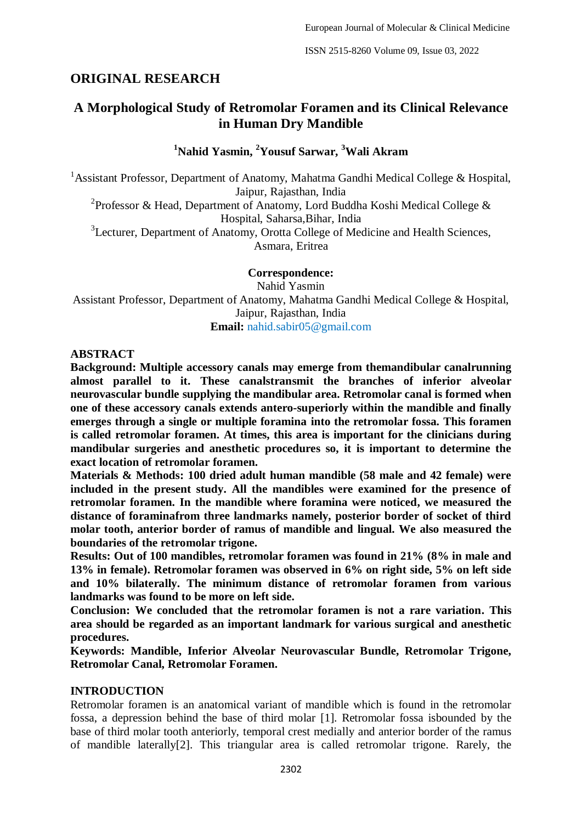# **ORIGINAL RESEARCH**

# **A Morphological Study of Retromolar Foramen and its Clinical Relevance in Human Dry Mandible**

## **<sup>1</sup>Nahid Yasmin, <sup>2</sup>Yousuf Sarwar, <sup>3</sup>Wali Akram**

<sup>1</sup>Assistant Professor, Department of Anatomy, Mahatma Gandhi Medical College & Hospital, Jaipur, Rajasthan, India

<sup>2</sup> Professor & Head, Department of Anatomy, Lord Buddha Koshi Medical College & Hospital, Saharsa,Bihar, India

<sup>3</sup>Lecturer, Department of Anatomy, Orotta College of Medicine and Health Sciences, Asmara, Eritrea

**Correspondence:**

Nahid Yasmin Assistant Professor, Department of Anatomy, Mahatma Gandhi Medical College & Hospital, Jaipur, Rajasthan, India

**Email:** nahid.sabir05@gmail.com

#### **ABSTRACT**

**Background: Multiple accessory canals may emerge from themandibular canalrunning almost parallel to it. These canalstransmit the branches of inferior alveolar neurovascular bundle supplying the mandibular area. Retromolar canal is formed when one of these accessory canals extends antero-superiorly within the mandible and finally emerges through a single or multiple foramina into the retromolar fossa. This foramen is called retromolar foramen. At times, this area is important for the clinicians during mandibular surgeries and anesthetic procedures so, it is important to determine the exact location of retromolar foramen.**

**Materials & Methods: 100 dried adult human mandible (58 male and 42 female) were included in the present study. All the mandibles were examined for the presence of retromolar foramen. In the mandible where foramina were noticed, we measured the distance of foraminafrom three landmarks namely, posterior border of socket of third molar tooth, anterior border of ramus of mandible and lingual. We also measured the boundaries of the retromolar trigone.**

**Results: Out of 100 mandibles, retromolar foramen was found in 21% (8% in male and 13% in female). Retromolar foramen was observed in 6% on right side, 5% on left side and 10% bilaterally. The minimum distance of retromolar foramen from various landmarks was found to be more on left side.** 

**Conclusion: We concluded that the retromolar foramen is not a rare variation. This area should be regarded as an important landmark for various surgical and anesthetic procedures.**

**Keywords: Mandible, Inferior Alveolar Neurovascular Bundle, Retromolar Trigone, Retromolar Canal, Retromolar Foramen.**

#### **INTRODUCTION**

Retromolar foramen is an anatomical variant of mandible which is found in the retromolar fossa, a depression behind the base of third molar [1]. Retromolar fossa isbounded by the base of third molar tooth anteriorly, temporal crest medially and anterior border of the ramus of mandible laterally[2]. This triangular area is called retromolar trigone. Rarely, the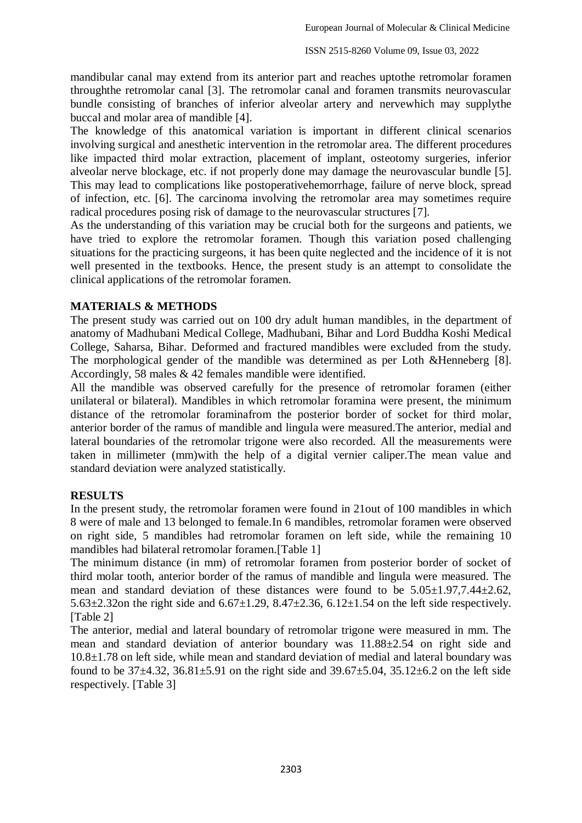mandibular canal may extend from its anterior part and reaches uptothe retromolar foramen throughthe retromolar canal [3]. The retromolar canal and foramen transmits neurovascular bundle consisting of branches of inferior alveolar artery and nervewhich may supplythe buccal and molar area of mandible [4].

The knowledge of this anatomical variation is important in different clinical scenarios involving surgical and anesthetic intervention in the retromolar area. The different procedures like impacted third molar extraction, placement of implant, osteotomy surgeries, inferior alveolar nerve blockage, etc. if not properly done may damage the neurovascular bundle [5]. This may lead to complications like postoperativehemorrhage, failure of nerve block, spread of infection, etc. [6]. The carcinoma involving the retromolar area may sometimes require radical procedures posing risk of damage to the neurovascular structures [7].

As the understanding of this variation may be crucial both for the surgeons and patients, we have tried to explore the retromolar foramen. Though this variation posed challenging situations for the practicing surgeons, it has been quite neglected and the incidence of it is not well presented in the textbooks. Hence, the present study is an attempt to consolidate the clinical applications of the retromolar foramen.

### **MATERIALS & METHODS**

The present study was carried out on 100 dry adult human mandibles, in the department of anatomy of Madhubani Medical College, Madhubani, Bihar and Lord Buddha Koshi Medical College, Saharsa, Bihar. Deformed and fractured mandibles were excluded from the study. The morphological gender of the mandible was determined as per Loth &Henneberg [8]. Accordingly, 58 males & 42 females mandible were identified.

All the mandible was observed carefully for the presence of retromolar foramen (either unilateral or bilateral). Mandibles in which retromolar foramina were present, the minimum distance of the retromolar foraminafrom the posterior border of socket for third molar, anterior border of the ramus of mandible and lingula were measured.The anterior, medial and lateral boundaries of the retromolar trigone were also recorded. All the measurements were taken in millimeter (mm)with the help of a digital vernier caliper.The mean value and standard deviation were analyzed statistically.

## **RESULTS**

In the present study, the retromolar foramen were found in 21out of 100 mandibles in which 8 were of male and 13 belonged to female.In 6 mandibles, retromolar foramen were observed on right side, 5 mandibles had retromolar foramen on left side, while the remaining 10 mandibles had bilateral retromolar foramen.[Table 1]

The minimum distance (in mm) of retromolar foramen from posterior border of socket of third molar tooth, anterior border of the ramus of mandible and lingula were measured. The mean and standard deviation of these distances were found to be  $5.05\pm1.97,7.44\pm2.62$ , 5.63 $\pm$ 2.32on the right side and 6.67 $\pm$ 1.29, 8.47 $\pm$ 2.36, 6.12 $\pm$ 1.54 on the left side respectively. [Table 2]

The anterior, medial and lateral boundary of retromolar trigone were measured in mm. The mean and standard deviation of anterior boundary was 11.88±2.54 on right side and 10.8±1.78 on left side, while mean and standard deviation of medial and lateral boundary was found to be  $37\pm4.32$ ,  $36.81\pm5.91$  on the right side and  $39.67\pm5.04$ ,  $35.12\pm6.2$  on the left side respectively. [Table 3]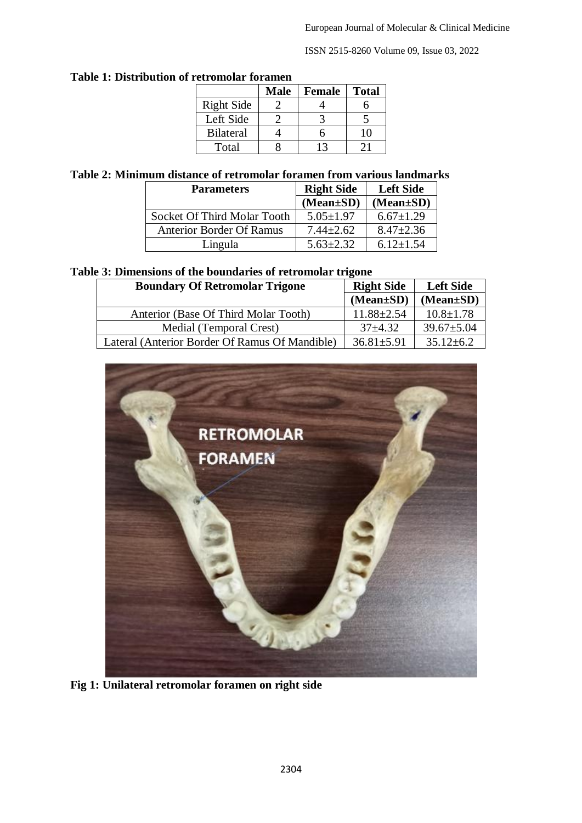ISSN 2515-8260 Volume 09, Issue 03, 2022

| rtu vinviar roramch |             |               |              |  |  |  |  |
|---------------------|-------------|---------------|--------------|--|--|--|--|
|                     | <b>Male</b> | <b>Female</b> | <b>Total</b> |  |  |  |  |
| <b>Right Side</b>   |             |               |              |  |  |  |  |
| Left Side           |             |               |              |  |  |  |  |
| <b>Bilateral</b>    |             |               | 10           |  |  |  |  |
| Total               |             | 13            |              |  |  |  |  |

# **Table 1: Distribution of retromolar foramen**

### **Table 2: Minimum distance of retromolar foramen from various landmarks**

| <b>Parameters</b>               | <b>Right Side</b> | <b>Left Side</b> |
|---------------------------------|-------------------|------------------|
|                                 | $(Mean \pm SD)$   | $(Mean \pm SD)$  |
| Socket Of Third Molar Tooth     | $5.05 \pm 1.97$   | $6.67 \pm 1.29$  |
| <b>Anterior Border Of Ramus</b> | $7.44 \pm 2.62$   | $8.47 \pm 2.36$  |
| Lingula                         | $5.63 \pm 2.32$   | $6.12 \pm 1.54$  |

#### **Table 3: Dimensions of the boundaries of retromolar trigone**

| <b>Boundary Of Retromolar Trigone</b>          | <b>Right Side</b> | <b>Left Side</b> |
|------------------------------------------------|-------------------|------------------|
|                                                | $(Mean \pm SD)$   | $(Mean \pm SD)$  |
| Anterior (Base Of Third Molar Tooth)           | $11.88 \pm 2.54$  | $10.8 \pm 1.78$  |
| Medial (Temporal Crest)                        | $37+4.32$         | $39.67 \pm 5.04$ |
| Lateral (Anterior Border Of Ramus Of Mandible) | $36.81 \pm 5.91$  | $35.12 \pm 6.2$  |



**Fig 1: Unilateral retromolar foramen on right side**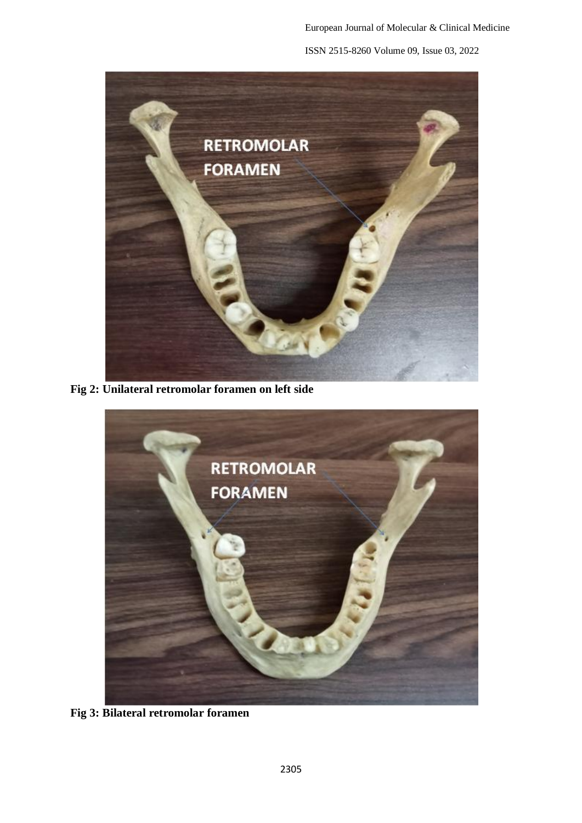

**Fig 2: Unilateral retromolar foramen on left side**



**Fig 3: Bilateral retromolar foramen**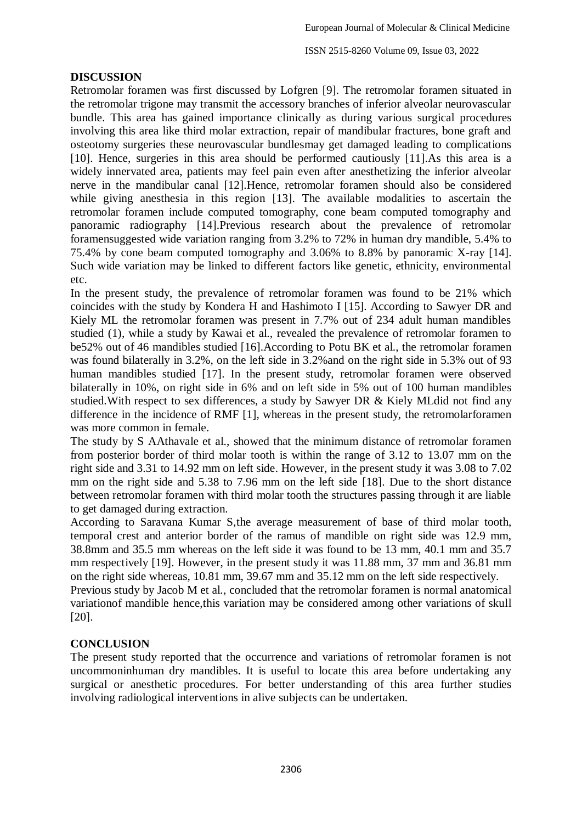ISSN 2515-8260 Volume 09, Issue 03, 2022

### **DISCUSSION**

Retromolar foramen was first discussed by Lofgren [9]. The retromolar foramen situated in the retromolar trigone may transmit the accessory branches of inferior alveolar neurovascular bundle. This area has gained importance clinically as during various surgical procedures involving this area like third molar extraction, repair of mandibular fractures, bone graft and osteotomy surgeries these neurovascular bundlesmay get damaged leading to complications [10]. Hence, surgeries in this area should be performed cautiously [11].As this area is a widely innervated area, patients may feel pain even after anesthetizing the inferior alveolar nerve in the mandibular canal [12].Hence, retromolar foramen should also be considered while giving anesthesia in this region [13]. The available modalities to ascertain the retromolar foramen include computed tomography, cone beam computed tomography and panoramic radiography [14].Previous research about the prevalence of retromolar foramensuggested wide variation ranging from 3.2% to 72% in human dry mandible, 5.4% to 75.4% by cone beam computed tomography and 3.06% to 8.8% by panoramic X-ray [14]. Such wide variation may be linked to different factors like genetic, ethnicity, environmental etc.

In the present study, the prevalence of retromolar foramen was found to be 21% which coincides with the study by Kondera H and Hashimoto I [15]. According to Sawyer DR and Kiely ML the retromolar foramen was present in 7.7% out of 234 adult human mandibles studied (1), while a study by Kawai et al., revealed the prevalence of retromolar foramen to be52% out of 46 mandibles studied [16].According to Potu BK et al., the retromolar foramen was found bilaterally in 3.2%, on the left side in 3.2%and on the right side in 5.3% out of 93 human mandibles studied [17]. In the present study, retromolar foramen were observed bilaterally in 10%, on right side in 6% and on left side in 5% out of 100 human mandibles studied.With respect to sex differences, a study by Sawyer DR & Kiely MLdid not find any difference in the incidence of RMF [1], whereas in the present study, the retromolarforamen was more common in female.

The study by S AAthavale et al., showed that the minimum distance of retromolar foramen from posterior border of third molar tooth is within the range of 3.12 to 13.07 mm on the right side and 3.31 to 14.92 mm on left side. However, in the present study it was 3.08 to 7.02 mm on the right side and 5.38 to 7.96 mm on the left side [18]. Due to the short distance between retromolar foramen with third molar tooth the structures passing through it are liable to get damaged during extraction.

According to Saravana Kumar S,the average measurement of base of third molar tooth, temporal crest and anterior border of the ramus of mandible on right side was 12.9 mm, 38.8mm and 35.5 mm whereas on the left side it was found to be 13 mm, 40.1 mm and 35.7 mm respectively [19]. However, in the present study it was 11.88 mm, 37 mm and 36.81 mm on the right side whereas, 10.81 mm, 39.67 mm and 35.12 mm on the left side respectively.

Previous study by Jacob M et al., concluded that the retromolar foramen is normal anatomical variationof mandible hence,this variation may be considered among other variations of skull [20].

## **CONCLUSION**

The present study reported that the occurrence and variations of retromolar foramen is not uncommoninhuman dry mandibles. It is useful to locate this area before undertaking any surgical or anesthetic procedures. For better understanding of this area further studies involving radiological interventions in alive subjects can be undertaken.